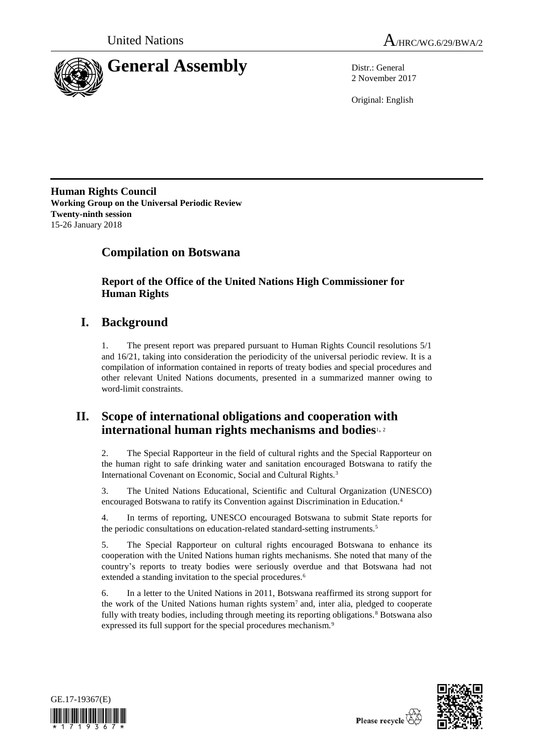



2 November 2017

Original: English

**Human Rights Council Working Group on the Universal Periodic Review Twenty-ninth session** 15-26 January 2018

# **Compilation on Botswana**

**Report of the Office of the United Nations High Commissioner for Human Rights**

# **I. Background**

1. The present report was prepared pursuant to Human Rights Council resolutions 5/1 and 16/21, taking into consideration the periodicity of the universal periodic review. It is a compilation of information contained in reports of treaty bodies and special procedures and other relevant United Nations documents, presented in a summarized manner owing to word-limit constraints.

## **II. Scope of international obligations and cooperation with international human rights mechanisms and bodies**1, <sup>2</sup>

2. The Special Rapporteur in the field of cultural rights and the Special Rapporteur on the human right to safe drinking water and sanitation encouraged Botswana to ratify the International Covenant on Economic, Social and Cultural Rights.<sup>3</sup>

3. The United Nations Educational, Scientific and Cultural Organization (UNESCO) encouraged Botswana to ratify its Convention against Discrimination in Education.<sup>4</sup>

4. In terms of reporting, UNESCO encouraged Botswana to submit State reports for the periodic consultations on education-related standard-setting instruments.<sup>5</sup>

5. The Special Rapporteur on cultural rights encouraged Botswana to enhance its cooperation with the United Nations human rights mechanisms. She noted that many of the country's reports to treaty bodies were seriously overdue and that Botswana had not extended a standing invitation to the special procedures.<sup>6</sup>

6. In a letter to the United Nations in 2011, Botswana reaffirmed its strong support for the work of the United Nations human rights system<sup>7</sup> and, inter alia, pledged to cooperate fully with treaty bodies, including through meeting its reporting obligations.<sup>8</sup> Botswana also expressed its full support for the special procedures mechanism.<sup>9</sup>



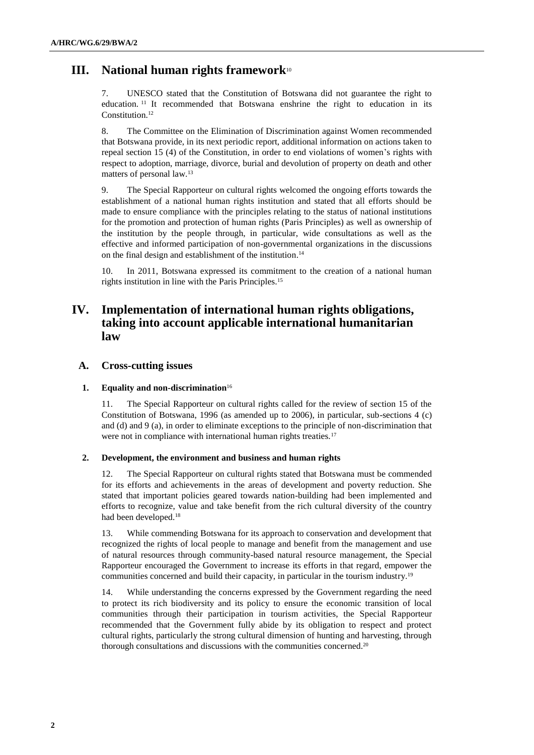## **III. National human rights framework**<sup>10</sup>

7. UNESCO stated that the Constitution of Botswana did not guarantee the right to education. <sup>11</sup> It recommended that Botswana enshrine the right to education in its Constitution.<sup>12</sup>

8. The Committee on the Elimination of Discrimination against Women recommended that Botswana provide, in its next periodic report, additional information on actions taken to repeal section 15 (4) of the Constitution, in order to end violations of women's rights with respect to adoption, marriage, divorce, burial and devolution of property on death and other matters of personal law.<sup>13</sup>

9. The Special Rapporteur on cultural rights welcomed the ongoing efforts towards the establishment of a national human rights institution and stated that all efforts should be made to ensure compliance with the principles relating to the status of national institutions for the promotion and protection of human rights (Paris Principles) as well as ownership of the institution by the people through, in particular, wide consultations as well as the effective and informed participation of non-governmental organizations in the discussions on the final design and establishment of the institution. 14

10. In 2011, Botswana expressed its commitment to the creation of a national human rights institution in line with the Paris Principles.<sup>15</sup>

## **IV. Implementation of international human rights obligations, taking into account applicable international humanitarian law**

### **A. Cross-cutting issues**

#### **1. Equality and non-discrimination**<sup>16</sup>

11. The Special Rapporteur on cultural rights called for the review of section 15 of the Constitution of Botswana, 1996 (as amended up to 2006), in particular, sub-sections 4 (c) and (d) and 9 (a), in order to eliminate exceptions to the principle of non-discrimination that were not in compliance with international human rights treaties.<sup>17</sup>

#### **2. Development, the environment and business and human rights**

12. The Special Rapporteur on cultural rights stated that Botswana must be commended for its efforts and achievements in the areas of development and poverty reduction. She stated that important policies geared towards nation-building had been implemented and efforts to recognize, value and take benefit from the rich cultural diversity of the country had been developed.<sup>18</sup>

13. While commending Botswana for its approach to conservation and development that recognized the rights of local people to manage and benefit from the management and use of natural resources through community-based natural resource management, the Special Rapporteur encouraged the Government to increase its efforts in that regard, empower the communities concerned and build their capacity, in particular in the tourism industry.<sup>19</sup>

14. While understanding the concerns expressed by the Government regarding the need to protect its rich biodiversity and its policy to ensure the economic transition of local communities through their participation in tourism activities, the Special Rapporteur recommended that the Government fully abide by its obligation to respect and protect cultural rights, particularly the strong cultural dimension of hunting and harvesting, through thorough consultations and discussions with the communities concerned.20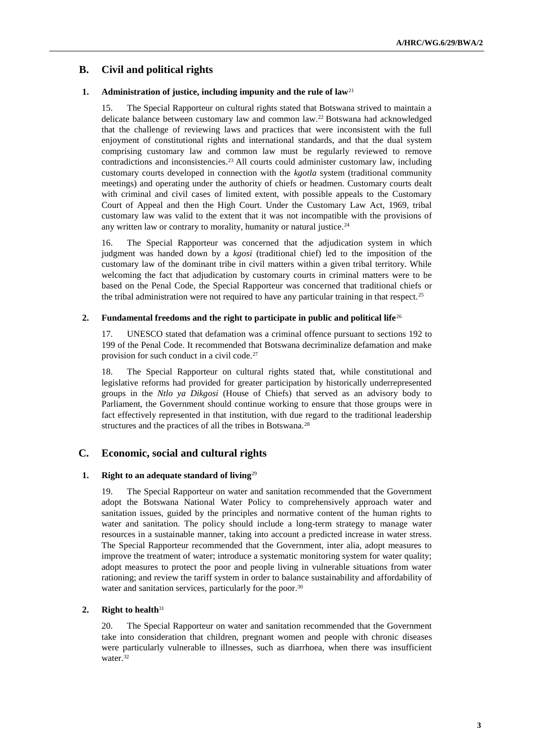## **B. Civil and political rights**

#### **1. Administration of justice, including impunity and the rule of law**<sup>21</sup>

15. The Special Rapporteur on cultural rights stated that Botswana strived to maintain a delicate balance between customary law and common law.<sup>22</sup> Botswana had acknowledged that the challenge of reviewing laws and practices that were inconsistent with the full enjoyment of constitutional rights and international standards, and that the dual system comprising customary law and common law must be regularly reviewed to remove contradictions and inconsistencies.<sup>23</sup> All courts could administer customary law, including customary courts developed in connection with the *kgotla* system (traditional community meetings) and operating under the authority of chiefs or headmen. Customary courts dealt with criminal and civil cases of limited extent, with possible appeals to the Customary Court of Appeal and then the High Court. Under the Customary Law Act, 1969, tribal customary law was valid to the extent that it was not incompatible with the provisions of any written law or contrary to morality, humanity or natural justice.<sup>24</sup>

16. The Special Rapporteur was concerned that the adjudication system in which judgment was handed down by a *kgosi* (traditional chief) led to the imposition of the customary law of the dominant tribe in civil matters within a given tribal territory. While welcoming the fact that adjudication by customary courts in criminal matters were to be based on the Penal Code, the Special Rapporteur was concerned that traditional chiefs or the tribal administration were not required to have any particular training in that respect.<sup>25</sup>

#### **2. Fundamental freedoms and the right to participate in public and political life**<sup>26</sup>

17. UNESCO stated that defamation was a criminal offence pursuant to sections 192 to 199 of the Penal Code. It recommended that Botswana decriminalize defamation and make provision for such conduct in a civil code.<sup>27</sup>

18. The Special Rapporteur on cultural rights stated that, while constitutional and legislative reforms had provided for greater participation by historically underrepresented groups in the *Ntlo ya Dikgosi* (House of Chiefs) that served as an advisory body to Parliament, the Government should continue working to ensure that those groups were in fact effectively represented in that institution, with due regard to the traditional leadership structures and the practices of all the tribes in Botswana.<sup>28</sup>

#### **C. Economic, social and cultural rights**

#### **1. Right to an adequate standard of living**<sup>29</sup>

19. The Special Rapporteur on water and sanitation recommended that the Government adopt the Botswana National Water Policy to comprehensively approach water and sanitation issues, guided by the principles and normative content of the human rights to water and sanitation. The policy should include a long-term strategy to manage water resources in a sustainable manner, taking into account a predicted increase in water stress. The Special Rapporteur recommended that the Government, inter alia, adopt measures to improve the treatment of water; introduce a systematic monitoring system for water quality; adopt measures to protect the poor and people living in vulnerable situations from water rationing; and review the tariff system in order to balance sustainability and affordability of water and sanitation services, particularly for the poor.<sup>30</sup>

### **2. Right to health**<sup>31</sup>

20. The Special Rapporteur on water and sanitation recommended that the Government take into consideration that children, pregnant women and people with chronic diseases were particularly vulnerable to illnesses, such as diarrhoea, when there was insufficient water.<sup>32</sup>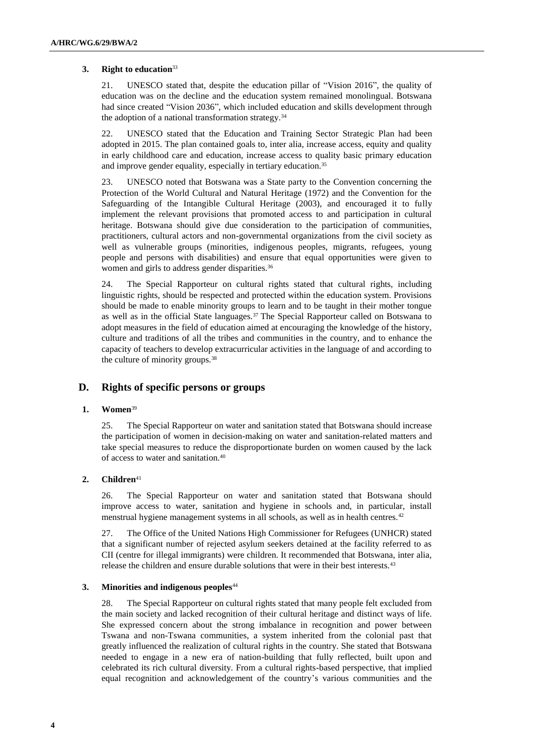#### **3. Right to education**<sup>33</sup>

21. UNESCO stated that, despite the education pillar of "Vision 2016", the quality of education was on the decline and the education system remained monolingual. Botswana had since created "Vision 2036", which included education and skills development through the adoption of a national transformation strategy.<sup>34</sup>

22. UNESCO stated that the Education and Training Sector Strategic Plan had been adopted in 2015. The plan contained goals to, inter alia, increase access, equity and quality in early childhood care and education, increase access to quality basic primary education and improve gender equality, especially in tertiary education.<sup>35</sup>

23. UNESCO noted that Botswana was a State party to the Convention concerning the Protection of the World Cultural and Natural Heritage (1972) and the Convention for the Safeguarding of the Intangible Cultural Heritage (2003), and encouraged it to fully implement the relevant provisions that promoted access to and participation in cultural heritage. Botswana should give due consideration to the participation of communities, practitioners, cultural actors and non-governmental organizations from the civil society as well as vulnerable groups (minorities, indigenous peoples, migrants, refugees, young people and persons with disabilities) and ensure that equal opportunities were given to women and girls to address gender disparities.<sup>36</sup>

24. The Special Rapporteur on cultural rights stated that cultural rights, including linguistic rights, should be respected and protected within the education system. Provisions should be made to enable minority groups to learn and to be taught in their mother tongue as well as in the official State languages.<sup>37</sup> The Special Rapporteur called on Botswana to adopt measures in the field of education aimed at encouraging the knowledge of the history, culture and traditions of all the tribes and communities in the country, and to enhance the capacity of teachers to develop extracurricular activities in the language of and according to the culture of minority groups.<sup>38</sup>

### **D. Rights of specific persons or groups**

#### **1. Women**<sup>39</sup>

25. The Special Rapporteur on water and sanitation stated that Botswana should increase the participation of women in decision-making on water and sanitation-related matters and take special measures to reduce the disproportionate burden on women caused by the lack of access to water and sanitation.<sup>40</sup>

#### 2. **Children**<sup>41</sup>

26. The Special Rapporteur on water and sanitation stated that Botswana should improve access to water, sanitation and hygiene in schools and, in particular, install menstrual hygiene management systems in all schools, as well as in health centres.<sup>42</sup>

27. The Office of the United Nations High Commissioner for Refugees (UNHCR) stated that a significant number of rejected asylum seekers detained at the facility referred to as CII (centre for illegal immigrants) were children. It recommended that Botswana, inter alia, release the children and ensure durable solutions that were in their best interests.<sup>43</sup>

#### **3. Minorities and indigenous peoples**<sup>44</sup>

28. The Special Rapporteur on cultural rights stated that many people felt excluded from the main society and lacked recognition of their cultural heritage and distinct ways of life. She expressed concern about the strong imbalance in recognition and power between Tswana and non-Tswana communities, a system inherited from the colonial past that greatly influenced the realization of cultural rights in the country. She stated that Botswana needed to engage in a new era of nation-building that fully reflected, built upon and celebrated its rich cultural diversity. From a cultural rights-based perspective, that implied equal recognition and acknowledgement of the country's various communities and the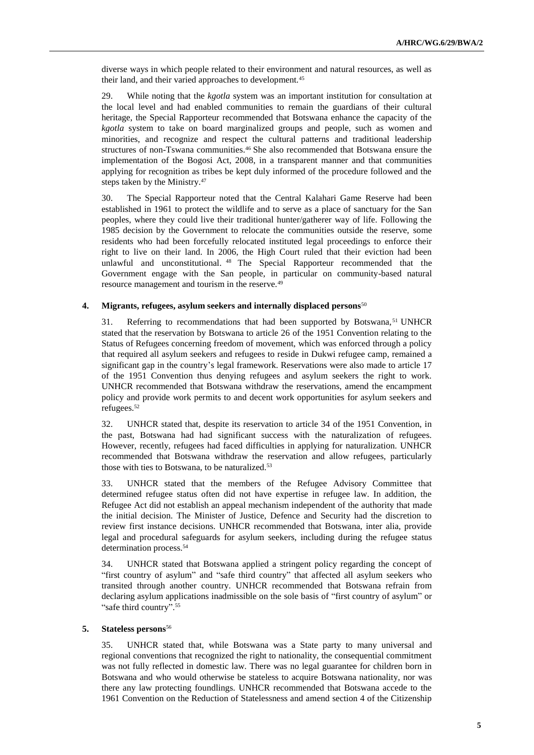diverse ways in which people related to their environment and natural resources, as well as their land, and their varied approaches to development.<sup>45</sup>

29. While noting that the *kgotla* system was an important institution for consultation at the local level and had enabled communities to remain the guardians of their cultural heritage, the Special Rapporteur recommended that Botswana enhance the capacity of the *kgotla* system to take on board marginalized groups and people, such as women and minorities, and recognize and respect the cultural patterns and traditional leadership structures of non-Tswana communities.<sup>46</sup> She also recommended that Botswana ensure the implementation of the Bogosi Act, 2008, in a transparent manner and that communities applying for recognition as tribes be kept duly informed of the procedure followed and the steps taken by the Ministry.<sup>47</sup>

30. The Special Rapporteur noted that the Central Kalahari Game Reserve had been established in 1961 to protect the wildlife and to serve as a place of sanctuary for the San peoples, where they could live their traditional hunter/gatherer way of life. Following the 1985 decision by the Government to relocate the communities outside the reserve, some residents who had been forcefully relocated instituted legal proceedings to enforce their right to live on their land. In 2006, the High Court ruled that their eviction had been unlawful and unconstitutional. <sup>48</sup> The Special Rapporteur recommended that the Government engage with the San people, in particular on community-based natural resource management and tourism in the reserve.<sup>49</sup>

#### **4. Migrants, refugees, asylum seekers and internally displaced persons**<sup>50</sup>

31. Referring to recommendations that had been supported by Botswana, <sup>51</sup> UNHCR stated that the reservation by Botswana to article 26 of the 1951 Convention relating to the Status of Refugees concerning freedom of movement, which was enforced through a policy that required all asylum seekers and refugees to reside in Dukwi refugee camp, remained a significant gap in the country's legal framework. Reservations were also made to article 17 of the 1951 Convention thus denying refugees and asylum seekers the right to work. UNHCR recommended that Botswana withdraw the reservations, amend the encampment policy and provide work permits to and decent work opportunities for asylum seekers and refugees.<sup>52</sup>

32. UNHCR stated that, despite its reservation to article 34 of the 1951 Convention, in the past, Botswana had had significant success with the naturalization of refugees. However, recently, refugees had faced difficulties in applying for naturalization. UNHCR recommended that Botswana withdraw the reservation and allow refugees, particularly those with ties to Botswana, to be naturalized.<sup>53</sup>

33. UNHCR stated that the members of the Refugee Advisory Committee that determined refugee status often did not have expertise in refugee law. In addition, the Refugee Act did not establish an appeal mechanism independent of the authority that made the initial decision. The Minister of Justice, Defence and Security had the discretion to review first instance decisions. UNHCR recommended that Botswana, inter alia, provide legal and procedural safeguards for asylum seekers, including during the refugee status determination process.<sup>54</sup>

34. UNHCR stated that Botswana applied a stringent policy regarding the concept of "first country of asylum" and "safe third country" that affected all asylum seekers who transited through another country. UNHCR recommended that Botswana refrain from declaring asylum applications inadmissible on the sole basis of "first country of asylum" or "safe third country".<sup>55</sup>

#### **5. Stateless persons**<sup>56</sup>

35. UNHCR stated that, while Botswana was a State party to many universal and regional conventions that recognized the right to nationality, the consequential commitment was not fully reflected in domestic law. There was no legal guarantee for children born in Botswana and who would otherwise be stateless to acquire Botswana nationality, nor was there any law protecting foundlings. UNHCR recommended that Botswana accede to the 1961 Convention on the Reduction of Statelessness and amend section 4 of the Citizenship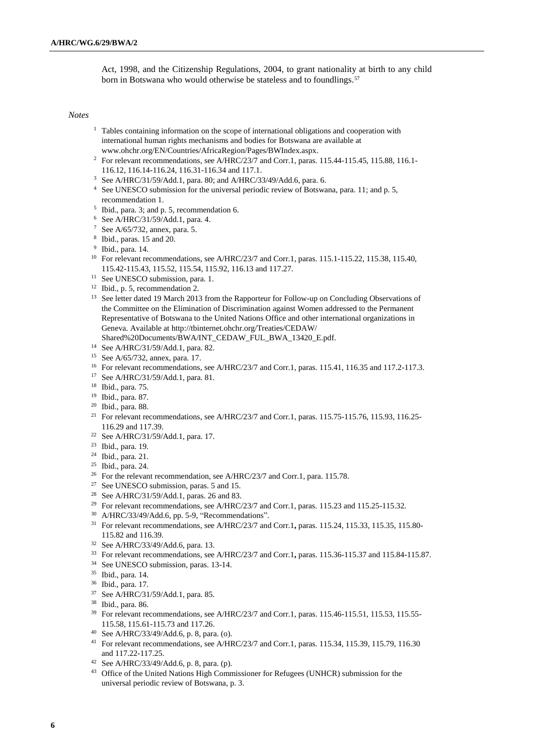Act, 1998, and the Citizenship Regulations, 2004, to grant nationality at birth to any child born in Botswana who would otherwise be stateless and to foundlings.<sup>57</sup>

#### *Notes*

- <sup>1</sup> Tables containing information on the scope of international obligations and cooperation with international human rights mechanisms and bodies for Botswana are available at [www.ohchr.org/EN/Countries/AfricaRegion/Pages/BWIndex.aspx.](http://www.ohchr.org/EN/Countries/AfricaRegion/Pages/BWIndex.aspx)
- <sup>2</sup> For relevant recommendations, see A/HRC/23/7 and Corr.1, paras. 115.44-115.45, 115.88, 116.1-116.12, 116.14-116.24, 116.31-116.34 and 117.1.
- <sup>3</sup> See A/HRC/31/59/Add.1, para. 80; and A/HRC/33/49/Add.6, para. 6.
- <sup>4</sup> See UNESCO submission for the universal periodic review of Botswana, para. 11; and p. 5, recommendation 1.
- 5 Ibid., para. 3; and p. 5, recommendation 6.
- <sup>6</sup> See A/HRC/31/59/Add.1, para. 4.
- <sup>7</sup> See A/65/732, annex, para. 5.
- 8 Ibid., paras. 15 and 20.
- 9 Ibid., para. 14.
- <sup>10</sup> For relevant recommendations, see A/HRC/23/7 and Corr.1, paras. 115.1-115.22, 115.38, 115.40, 115.42-115.43, 115.52, 115.54, 115.92, 116.13 and 117.27.
- <sup>11</sup> See UNESCO submission, para. 1.
- <sup>12</sup> Ibid., p. 5, recommendation 2.
- <sup>13</sup> See letter dated 19 March 2013 from the Rapporteur for Follow-up on Concluding Observations of the Committee on the Elimination of Discrimination against Women addressed to the Permanent Representative of Botswana to the United Nations Office and other international organizations in Geneva. Available at [http://tbinternet.ohchr.org/Treaties/CEDAW/](http://tbinternet.ohchr.org/Treaties/CEDAW/Shared%20Documents/BWA/INT_CEDAW_FUL_BWA_13420_E.pdf)
- [Shared%20Documents/BWA/INT\\_CEDAW\\_FUL\\_BWA\\_13420\\_E.pdf.](http://tbinternet.ohchr.org/Treaties/CEDAW/Shared%20Documents/BWA/INT_CEDAW_FUL_BWA_13420_E.pdf)
- <sup>14</sup> See A/HRC/31/59/Add.1, para. 82.
- <sup>15</sup> See A/65/732, annex, para. 17.
- <sup>16</sup> For relevant recommendations, see A/HRC/23/7 and Corr.1, paras. 115.41*,* 116.35 and 117.2-117.3.
- <sup>17</sup> See A/HRC/31/59/Add.1, para. 81.
- <sup>18</sup> Ibid., para. 75.
- <sup>19</sup> Ibid., para. 87.
- <sup>20</sup> Ibid., para. 88.
- <sup>21</sup> For relevant recommendations, see A/HRC/23/7 and Corr.1, paras. 115.75-115.76*,* 115.93, 116.25- 116.29 and 117.39.
- <sup>22</sup> See A/HRC/31/59/Add.1, para. 17.
- <sup>23</sup> Ibid., para. 19.
- <sup>24</sup> Ibid., para. 21.
- <sup>25</sup> Ibid., para. 24.
- <sup>26</sup> For the relevant recommendation, see A/HRC/23/7 and Corr.1, para. 115.78.
- <sup>27</sup> See UNESCO submission, paras. 5 and 15.
- <sup>28</sup> See A/HRC/31/59/Add.1, paras. 26 and 83.
- <sup>29</sup> For relevant recommendations, see A/HRC/23/7 and Corr.1, paras. 115.23 and 115.25-115.32.
- <sup>30</sup> A/HRC/33/49/Add.6, pp. 5-9, "Recommendations".
- <sup>31</sup> For relevant recommendations, see A/HRC/23/7 and Corr.1, paras. 115.24, 115.33, 115.35, 115.80-115.82 and 116.39.
- <sup>32</sup> See A/HRC/33/49/Add.6, para. 13.
- <sup>33</sup> For relevant recommendations, see A/HRC/23/7 and Corr.1**,** paras. 115.36-115.37 and 115.84-115.87.
- <sup>34</sup> See UNESCO submission, paras. 13-14.
- <sup>35</sup> Ibid., para. 14.
- <sup>36</sup> Ibid., para. 17.
- <sup>37</sup> See A/HRC/31/59/Add.1, para. 85.
- <sup>38</sup> Ibid., para. 86.
- <sup>39</sup> For relevant recommendations, see A/HRC/23/7 and Corr.1, paras. 115.46-115.51, 115.53, 115.55-115.58, 115.61-115.73 and 117.26.
- <sup>40</sup> See A/HRC/33/49/Add.6, p. 8, para. (o).
- <sup>41</sup> For relevant recommendations, see A/HRC/23/7 and Corr.1, paras. 115.34, 115.39, 115.79, 116.30 and 117.22-117.25.
- <sup>42</sup> See A/HRC/33/49/Add.6, p. 8, para. (p).
- <sup>43</sup> Office of the United Nations High Commissioner for Refugees (UNHCR) submission for the universal periodic review of Botswana, p. 3.